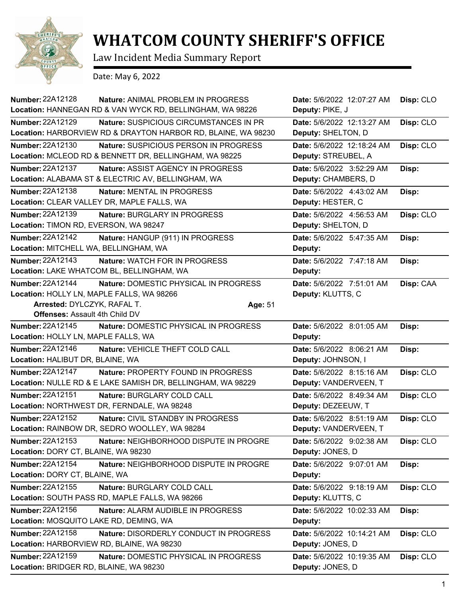

## **WHATCOM COUNTY SHERIFF'S OFFICE**

Law Incident Media Summary Report

Date: May 6, 2022

| Number: 22A12128                       | <b>Nature: ANIMAL PROBLEM IN PROGRESS</b><br>Location: HANNEGAN RD & VAN WYCK RD, BELLINGHAM, WA 98226 | Date: 5/6/2022 12:07:27 AM<br>Deputy: PIKE, J | Disp: CLO |
|----------------------------------------|--------------------------------------------------------------------------------------------------------|-----------------------------------------------|-----------|
| <b>Number: 22A12129</b>                | <b>Nature: SUSPICIOUS CIRCUMSTANCES IN PR</b>                                                          | Date: 5/6/2022 12:13:27 AM                    | Disp: CLO |
|                                        | Location: HARBORVIEW RD & DRAYTON HARBOR RD, BLAINE, WA 98230                                          | Deputy: SHELTON, D                            |           |
| <b>Number: 22A12130</b>                | Nature: SUSPICIOUS PERSON IN PROGRESS                                                                  | Date: 5/6/2022 12:18:24 AM                    | Disp: CLO |
|                                        | Location: MCLEOD RD & BENNETT DR, BELLINGHAM, WA 98225                                                 | Deputy: STREUBEL, A                           |           |
| <b>Number: 22A12137</b>                | Nature: ASSIST AGENCY IN PROGRESS                                                                      | Date: 5/6/2022 3:52:29 AM                     | Disp:     |
|                                        | Location: ALABAMA ST & ELECTRIC AV, BELLINGHAM, WA                                                     | Deputy: CHAMBERS, D                           |           |
| Number: 22A12138                       | Nature: MENTAL IN PROGRESS                                                                             | Date: 5/6/2022 4:43:02 AM                     | Disp:     |
|                                        | Location: CLEAR VALLEY DR, MAPLE FALLS, WA                                                             | Deputy: HESTER, C                             |           |
| Number: 22A12139                       | Nature: BURGLARY IN PROGRESS                                                                           | Date: 5/6/2022 4:56:53 AM                     | Disp: CLO |
| Location: TIMON RD, EVERSON, WA 98247  |                                                                                                        | Deputy: SHELTON, D                            |           |
| Number: 22A12142                       | Nature: HANGUP (911) IN PROGRESS                                                                       | Date: 5/6/2022 5:47:35 AM                     | Disp:     |
| Location: MITCHELL WA, BELLINGHAM, WA  |                                                                                                        | Deputy:                                       |           |
| Number: 22A12143                       | Nature: WATCH FOR IN PROGRESS                                                                          | Date: 5/6/2022 7:47:18 AM                     | Disp:     |
|                                        | Location: LAKE WHATCOM BL, BELLINGHAM, WA                                                              | Deputy:                                       |           |
| Number: 22A12144                       | Nature: DOMESTIC PHYSICAL IN PROGRESS                                                                  | Date: 5/6/2022 7:51:01 AM                     | Disp: CAA |
|                                        | Location: HOLLY LN, MAPLE FALLS, WA 98266                                                              | Deputy: KLUTTS, C                             |           |
| Arrested: DYLCZYK, RAFAL T.            | Age: 51                                                                                                |                                               |           |
| Offenses: Assault 4th Child DV         |                                                                                                        |                                               |           |
| Number: 22A12145                       | Nature: DOMESTIC PHYSICAL IN PROGRESS                                                                  | Date: 5/6/2022 8:01:05 AM                     | Disp:     |
| Location: HOLLY LN, MAPLE FALLS, WA    |                                                                                                        | Deputy:                                       |           |
| Number: 22A12146                       | Nature: VEHICLE THEFT COLD CALL                                                                        | Date: 5/6/2022 8:06:21 AM                     | Disp:     |
| Location: HALIBUT DR, BLAINE, WA       |                                                                                                        | Deputy: JOHNSON, I                            |           |
| <b>Number: 22A12147</b>                | Nature: PROPERTY FOUND IN PROGRESS                                                                     | Date: 5/6/2022 8:15:16 AM                     | Disp: CLO |
|                                        | Location: NULLE RD & E LAKE SAMISH DR, BELLINGHAM, WA 98229                                            | Deputy: VANDERVEEN, T                         |           |
| Number: 22A12151                       | Nature: BURGLARY COLD CALL                                                                             | Date: 5/6/2022 8:49:34 AM                     | Disp: CLO |
|                                        | Location: NORTHWEST DR, FERNDALE, WA 98248                                                             | Deputy: DEZEEUW, T                            |           |
| <b>Number: 22A12152</b>                | Nature: CIVIL STANDBY IN PROGRESS                                                                      | Date: 5/6/2022 8:51:19 AM                     | Disp: CLO |
|                                        | Location: RAINBOW DR, SEDRO WOOLLEY, WA 98284                                                          | Deputy: VANDERVEEN, T                         |           |
| Number: 22A12153                       | Nature: NEIGHBORHOOD DISPUTE IN PROGRE                                                                 | Date: 5/6/2022 9:02:38 AM                     | Disp: CLO |
| Location: DORY CT, BLAINE, WA 98230    |                                                                                                        | Deputy: JONES, D                              |           |
| Number: 22A12154                       | Nature: NEIGHBORHOOD DISPUTE IN PROGRE                                                                 | Date: 5/6/2022 9:07:01 AM                     | Disp:     |
| Location: DORY CT, BLAINE, WA          |                                                                                                        | Deputy:                                       |           |
| <b>Number: 22A12155</b>                | Nature: BURGLARY COLD CALL                                                                             | Date: 5/6/2022 9:18:19 AM                     | Disp: CLO |
|                                        | Location: SOUTH PASS RD, MAPLE FALLS, WA 98266                                                         | Deputy: KLUTTS, C                             |           |
| Number: 22A12156                       | Nature: ALARM AUDIBLE IN PROGRESS                                                                      | Date: 5/6/2022 10:02:33 AM                    | Disp:     |
| Location: MOSQUITO LAKE RD, DEMING, WA |                                                                                                        | Deputy:                                       |           |
| <b>Number: 22A12158</b>                | <b>Nature: DISORDERLY CONDUCT IN PROGRESS</b>                                                          | Date: 5/6/2022 10:14:21 AM                    | Disp: CLO |
|                                        | Location: HARBORVIEW RD, BLAINE, WA 98230                                                              | Deputy: JONES, D                              |           |
| Number: 22A12159                       | Nature: DOMESTIC PHYSICAL IN PROGRESS                                                                  | Date: 5/6/2022 10:19:35 AM                    | Disp: CLO |
| Location: BRIDGER RD, BLAINE, WA 98230 |                                                                                                        | Deputy: JONES, D                              |           |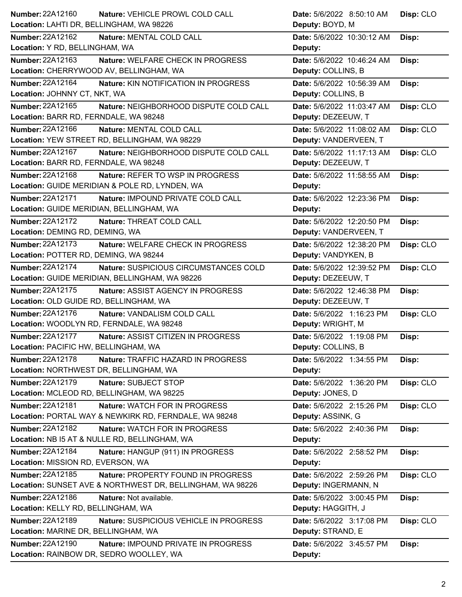| Number: 22A12160                               | Nature: VEHICLE PROWL COLD CALL                                                        | Date: 5/6/2022 8:50:10 AM                      | Disp: CLO |
|------------------------------------------------|----------------------------------------------------------------------------------------|------------------------------------------------|-----------|
| Location: LAHTI DR, BELLINGHAM, WA 98226       |                                                                                        | Deputy: BOYD, M                                |           |
| Number: 22A12162                               | Nature: MENTAL COLD CALL                                                               | Date: 5/6/2022 10:30:12 AM                     | Disp:     |
| Location: Y RD, BELLINGHAM, WA                 |                                                                                        | Deputy:                                        |           |
| Number: 22A12163                               | Nature: WELFARE CHECK IN PROGRESS                                                      | Date: 5/6/2022 10:46:24 AM                     | Disp:     |
| Location: CHERRYWOOD AV, BELLINGHAM, WA        |                                                                                        | Deputy: COLLINS, B                             |           |
| <b>Number: 22A12164</b>                        | Nature: KIN NOTIFICATION IN PROGRESS                                                   | Date: 5/6/2022 10:56:39 AM                     | Disp:     |
| Location: JOHNNY CT, NKT, WA                   |                                                                                        | Deputy: COLLINS, B                             |           |
| Number: 22A12165                               | Nature: NEIGHBORHOOD DISPUTE COLD CALL                                                 | Date: 5/6/2022 11:03:47 AM                     | Disp: CLO |
| Location: BARR RD, FERNDALE, WA 98248          |                                                                                        | Deputy: DEZEEUW, T                             |           |
| Number: 22A12166                               | Nature: MENTAL COLD CALL                                                               | Date: 5/6/2022 11:08:02 AM                     | Disp: CLO |
| Location: YEW STREET RD, BELLINGHAM, WA 98229  |                                                                                        | Deputy: VANDERVEEN, T                          |           |
| Number: 22A12167                               | Nature: NEIGHBORHOOD DISPUTE COLD CALL                                                 | Date: 5/6/2022 11:17:13 AM                     | Disp: CLO |
| Location: BARR RD, FERNDALE, WA 98248          |                                                                                        | Deputy: DEZEEUW, T                             |           |
| Number: 22A12168                               | Nature: REFER TO WSP IN PROGRESS                                                       | Date: 5/6/2022 11:58:55 AM                     | Disp:     |
| Location: GUIDE MERIDIAN & POLE RD, LYNDEN, WA |                                                                                        | Deputy:                                        |           |
| <b>Number: 22A12171</b>                        | Nature: IMPOUND PRIVATE COLD CALL                                                      | Date: 5/6/2022 12:23:36 PM                     | Disp:     |
| Location: GUIDE MERIDIAN, BELLINGHAM, WA       |                                                                                        | Deputy:                                        |           |
| Number: 22A12172                               | Nature: THREAT COLD CALL                                                               | Date: 5/6/2022 12:20:50 PM                     | Disp:     |
| Location: DEMING RD, DEMING, WA                |                                                                                        | Deputy: VANDERVEEN, T                          |           |
| <b>Number: 22A12173</b>                        | Nature: WELFARE CHECK IN PROGRESS                                                      | Date: 5/6/2022 12:38:20 PM                     | Disp: CLO |
| Location: POTTER RD, DEMING, WA 98244          |                                                                                        | Deputy: VANDYKEN, B                            |           |
| <b>Number: 22A12174</b>                        | Nature: SUSPICIOUS CIRCUMSTANCES COLD                                                  | Date: 5/6/2022 12:39:52 PM                     | Disp: CLO |
| Location: GUIDE MERIDIAN, BELLINGHAM, WA 98226 |                                                                                        | Deputy: DEZEEUW, T                             |           |
| <b>Number: 22A12175</b>                        | Nature: ASSIST AGENCY IN PROGRESS                                                      | Date: 5/6/2022 12:46:38 PM                     | Disp:     |
| Location: OLD GUIDE RD, BELLINGHAM, WA         |                                                                                        | Deputy: DEZEEUW, T                             |           |
| Number: 22A12176                               | Nature: VANDALISM COLD CALL                                                            | Date: 5/6/2022 1:16:23 PM                      | Disp: CLO |
| Location: WOODLYN RD, FERNDALE, WA 98248       |                                                                                        | Deputy: WRIGHT, M                              |           |
| Number: 22A12177                               | Nature: ASSIST CITIZEN IN PROGRESS                                                     | Date: 5/6/2022 1:19:08 PM                      | Disp:     |
| Location: PACIFIC HW, BELLINGHAM, WA           |                                                                                        |                                                |           |
|                                                |                                                                                        | Deputy: COLLINS, B                             |           |
| Number: 22A12178                               |                                                                                        |                                                |           |
| Location: NORTHWEST DR, BELLINGHAM, WA         | Nature: TRAFFIC HAZARD IN PROGRESS                                                     | Date: 5/6/2022 1:34:55 PM<br>Deputy:           | Disp:     |
| Number: 22A12179                               | Nature: SUBJECT STOP                                                                   |                                                |           |
| Location: MCLEOD RD, BELLINGHAM, WA 98225      |                                                                                        | Date: 5/6/2022 1:36:20 PM<br>Deputy: JONES, D  | Disp: CLO |
| Number: 22A12181                               |                                                                                        |                                                |           |
|                                                | Nature: WATCH FOR IN PROGRESS<br>Location: PORTAL WAY & NEWKIRK RD, FERNDALE, WA 98248 | Date: 5/6/2022 2:15:26 PM<br>Deputy: ASSINK, G | Disp: CLO |
| <b>Number: 22A12182</b>                        | <b>Nature: WATCH FOR IN PROGRESS</b>                                                   |                                                |           |
| Location: NB I5 AT & NULLE RD, BELLINGHAM, WA  |                                                                                        | Date: 5/6/2022 2:40:36 PM<br>Deputy:           | Disp:     |
| Number: 22A12184                               |                                                                                        |                                                |           |
| Location: MISSION RD, EVERSON, WA              | Nature: HANGUP (911) IN PROGRESS                                                       | Date: 5/6/2022 2:58:52 PM<br>Deputy:           | Disp:     |
| Number: 22A12185                               | Nature: PROPERTY FOUND IN PROGRESS                                                     | Date: 5/6/2022 2:59:26 PM                      |           |
|                                                | Location: SUNSET AVE & NORTHWEST DR, BELLINGHAM, WA 98226                              | Deputy: INGERMANN, N                           | Disp: CLO |
| Number: 22A12186                               | Nature: Not available.                                                                 | Date: 5/6/2022 3:00:45 PM                      |           |
| Location: KELLY RD, BELLINGHAM, WA             |                                                                                        | Deputy: HAGGITH, J                             | Disp:     |
| Number: 22A12189                               | Nature: SUSPICIOUS VEHICLE IN PROGRESS                                                 | Date: 5/6/2022 3:17:08 PM                      |           |
| Location: MARINE DR, BELLINGHAM, WA            |                                                                                        | Deputy: STRAND, E                              | Disp: CLO |
| <b>Number: 22A12190</b>                        | Nature: IMPOUND PRIVATE IN PROGRESS                                                    |                                                |           |
| Location: RAINBOW DR, SEDRO WOOLLEY, WA        |                                                                                        | Date: 5/6/2022 3:45:57 PM<br>Deputy:           | Disp:     |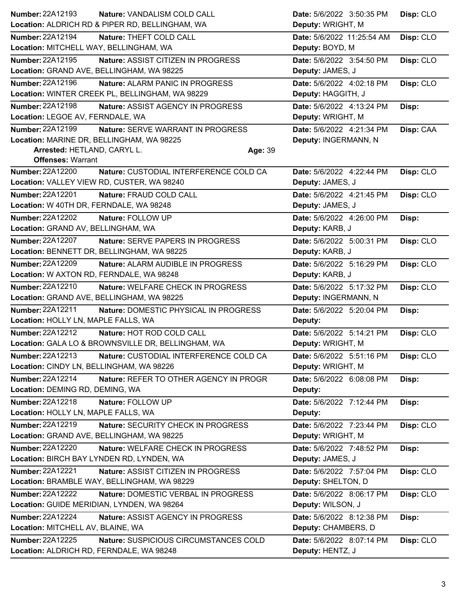| Number: 22A12193<br>Nature: VANDALISM COLD CALL                   | Disp: CLO<br>Date: 5/6/2022 3:50:35 PM  |
|-------------------------------------------------------------------|-----------------------------------------|
| Location: ALDRICH RD & PIPER RD, BELLINGHAM, WA                   | Deputy: WRIGHT, M                       |
| Number: 22A12194<br>Nature: THEFT COLD CALL                       | Disp: CLO<br>Date: 5/6/2022 11:25:54 AM |
| Location: MITCHELL WAY, BELLINGHAM, WA                            | Deputy: BOYD, M                         |
| Number: 22A12195<br>Nature: ASSIST CITIZEN IN PROGRESS            | Date: 5/6/2022 3:54:50 PM<br>Disp: CLO  |
| Location: GRAND AVE, BELLINGHAM, WA 98225                         | Deputy: JAMES, J                        |
| <b>Number: 22A12196</b><br><b>Nature: ALARM PANIC IN PROGRESS</b> | Date: 5/6/2022 4:02:18 PM<br>Disp: CLO  |
| Location: WINTER CREEK PL, BELLINGHAM, WA 98229                   | Deputy: HAGGITH, J                      |
| <b>Number: 22A12198</b><br>Nature: ASSIST AGENCY IN PROGRESS      | Date: 5/6/2022 4:13:24 PM<br>Disp:      |
| Location: LEGOE AV, FERNDALE, WA                                  | Deputy: WRIGHT, M                       |
| Number: 22A12199<br>Nature: SERVE WARRANT IN PROGRESS             | Date: 5/6/2022 4:21:34 PM<br>Disp: CAA  |
| Location: MARINE DR, BELLINGHAM, WA 98225                         | Deputy: INGERMANN, N                    |
| Arrested: HETLAND, CARYL L.<br>Age: 39                            |                                         |
| <b>Offenses: Warrant</b>                                          |                                         |
| <b>Number: 22A12200</b><br>Nature: CUSTODIAL INTERFERENCE COLD CA | Disp: CLO<br>Date: 5/6/2022 4:22:44 PM  |
| Location: VALLEY VIEW RD, CUSTER, WA 98240                        | Deputy: JAMES, J                        |
| <b>Number: 22A12201</b><br>Nature: FRAUD COLD CALL                | Disp: CLO<br>Date: 5/6/2022 4:21:45 PM  |
| Location: W 40TH DR, FERNDALE, WA 98248                           | Deputy: JAMES, J                        |
| Number: 22A12202<br>Nature: FOLLOW UP                             | Date: 5/6/2022 4:26:00 PM<br>Disp:      |
| Location: GRAND AV, BELLINGHAM, WA                                | Deputy: KARB, J                         |
| Number: 22A12207<br>Nature: SERVE PAPERS IN PROGRESS              | Date: 5/6/2022 5:00:31 PM<br>Disp: CLO  |
| Location: BENNETT DR, BELLINGHAM, WA 98225                        | Deputy: KARB, J                         |
| <b>Number: 22A12209</b><br>Nature: ALARM AUDIBLE IN PROGRESS      | Disp: CLO<br>Date: 5/6/2022 5:16:29 PM  |
| Location: W AXTON RD, FERNDALE, WA 98248                          | Deputy: KARB, J                         |
| Number: 22A12210<br>Nature: WELFARE CHECK IN PROGRESS             | Disp: CLO<br>Date: 5/6/2022 5:17:32 PM  |
| Location: GRAND AVE, BELLINGHAM, WA 98225                         | Deputy: INGERMANN, N                    |
| <b>Number: 22A12211</b><br>Nature: DOMESTIC PHYSICAL IN PROGRESS  | Date: 5/6/2022 5:20:04 PM<br>Disp:      |
| Location: HOLLY LN, MAPLE FALLS, WA                               | Deputy:                                 |
| Number: 22A12212<br>Nature: HOT ROD COLD CALL                     | Date: 5/6/2022 5:14:21 PM<br>Disp: CLO  |
| Location: GALA LO & BROWNSVILLE DR, BELLINGHAM, WA                | Deputy: WRIGHT, M                       |
| Number: 22A12213<br>Nature: CUSTODIAL INTERFERENCE COLD CA        | Date: 5/6/2022 5:51:16 PM<br>Disp: CLO  |
| Location: CINDY LN, BELLINGHAM, WA 98226                          | Deputy: WRIGHT, M                       |
| Number: 22A12214<br>Nature: REFER TO OTHER AGENCY IN PROGR        | Date: 5/6/2022 6:08:08 PM<br>Disp:      |
| Location: DEMING RD, DEMING, WA                                   | Deputy:                                 |
| Number: 22A12218<br>Nature: FOLLOW UP                             | Date: 5/6/2022 7:12:44 PM<br>Disp:      |
| Location: HOLLY LN, MAPLE FALLS, WA                               | Deputy:                                 |
| <b>Number: 22A12219</b><br>Nature: SECURITY CHECK IN PROGRESS     | Date: 5/6/2022 7:23:44 PM<br>Disp: CLO  |
| Location: GRAND AVE, BELLINGHAM, WA 98225                         | Deputy: WRIGHT, M                       |
| Number: 22A12220<br>Nature: WELFARE CHECK IN PROGRESS             | Date: 5/6/2022 7:48:52 PM<br>Disp:      |
| Location: BIRCH BAY LYNDEN RD, LYNDEN, WA                         | Deputy: JAMES, J                        |
| <b>Number: 22A12221</b><br>Nature: ASSIST CITIZEN IN PROGRESS     | Date: 5/6/2022 7:57:04 PM<br>Disp: CLO  |
| Location: BRAMBLE WAY, BELLINGHAM, WA 98229                       | Deputy: SHELTON, D                      |
| Number: 22A12222<br>Nature: DOMESTIC VERBAL IN PROGRESS           | Disp: CLO<br>Date: 5/6/2022 8:06:17 PM  |
| Location: GUIDE MERIDIAN, LYNDEN, WA 98264                        | Deputy: WILSON, J                       |
| <b>Number: 22A12224</b><br>Nature: ASSIST AGENCY IN PROGRESS      | Date: 5/6/2022 8:12:38 PM<br>Disp:      |
| Location: MITCHELL AV, BLAINE, WA                                 | Deputy: CHAMBERS, D                     |
| Number: 22A12225<br>Nature: SUSPICIOUS CIRCUMSTANCES COLD         | Date: 5/6/2022 8:07:14 PM<br>Disp: CLO  |
| Location: ALDRICH RD, FERNDALE, WA 98248                          | Deputy: HENTZ, J                        |